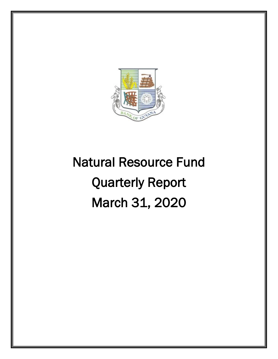

# Natural Resource Fund Quarterly Report March 31, 2020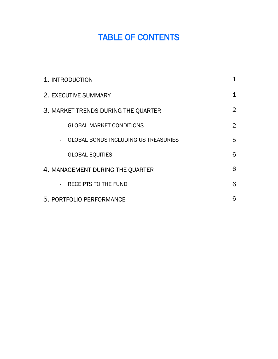# TABLE OF CONTENTS

| 1. INTRODUCTION                             | 1              |
|---------------------------------------------|----------------|
| 2. EXECUTIVE SUMMARY                        | $\mathbf 1$    |
| 3. MARKET TRENDS DURING THE QUARTER         | $\overline{2}$ |
| <b>GLOBAL MARKET CONDITIONS</b>             | $\overline{2}$ |
| <b>GLOBAL BONDS INCLUDING US TREASURIES</b> | 5              |
| <b>GLOBAL EQUITIES</b><br>$\sim$            | 6              |
| 4. MANAGEMENT DURING THE QUARTER            | 6              |
| <b>RECEIPTS TO THE FUND</b>                 | 6              |
| 5. PORTFOLIO PERFORMANCE                    | 6              |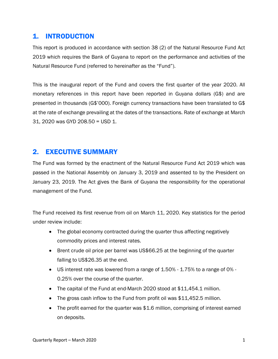# 1. INTRODUCTION

This report is produced in accordance with section 38 (2) of the Natural Resource Fund Act 2019 which requires the Bank of Guyana to report on the performance and activities of the Natural Resource Fund (referred to hereinafter as the "Fund").

This is the inaugural report of the Fund and covers the first quarter of the year 2020. All monetary references in this report have been reported in Guyana dollars (G\$) and are presented in thousands (G\$'000). Foreign currency transactions have been translated to G\$ at the rate of exchange prevailing at the dates of the transactions. Rate of exchange at March 31, 2020 was GYD 208.50 = USD 1.

# 2. EXECUTIVE SUMMARY

The Fund was formed by the enactment of the Natural Resource Fund Act 2019 which was passed in the National Assembly on January 3, 2019 and assented to by the President on January 23, 2019. The Act gives the Bank of Guyana the responsibility for the operational management of the Fund.

The Fund received its first revenue from oil on March 11, 2020. Key statistics for the period under review include:

- The global economy contracted during the quarter thus affecting negatively commodity prices and interest rates.
- Brent crude oil price per barrel was US\$66.25 at the beginning of the quarter falling to US\$26.35 at the end.
- $\bullet$  US interest rate was lowered from a range of 1.50% 1.75% to a range of 0% -0.25% over the course of the quarter.
- The capital of the Fund at end-March 2020 stood at \$11,454.1 million.
- The gross cash inflow to the Fund from profit oil was \$11,452.5 million.
- The profit earned for the quarter was \$1.6 million, comprising of interest earned on deposits.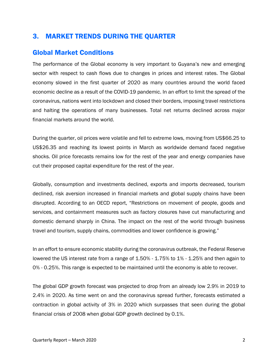# 3. MARKET TRENDS DURING THE QUARTER

#### Global Market Conditions

The performance of the Global economy is very important to Guyana's new and emerging sector with respect to cash flows due to changes in prices and interest rates. The Global economy slowed in the first quarter of 2020 as many countries around the world faced economic decline as a result of the COVID-19 pandemic. In an effort to limit the spread of the coronavirus, nations went into lockdown and closed their borders, imposing travel restrictions and halting the operations of many businesses. Total net returns declined across major financial markets around the world.

During the quarter, oil prices were volatile and fell to extreme lows, moving from US\$66.25 to US\$26.35 and reaching its lowest points in March as worldwide demand faced negative shocks. Oil price forecasts remains low for the rest of the year and energy companies have cut their proposed capital expenditure for the rest of the year.

Globally, consumption and investments declined, exports and imports decreased, tourism declined, risk aversion increased in financial markets and global supply chains have been disrupted. According to an OECD report, "Restrictions on movement of people, goods and services, and containment measures such as factory closures have cut manufacturing and domestic demand sharply in China. The impact on the rest of the world through business travel and tourism, supply chains, commodities and lower confidence is growing."

In an effort to ensure economic stability during the coronavirus outbreak, the Federal Reserve lowered the US interest rate from a range of 1.50% - 1.75% to 1% - 1.25% and then again to 0% - 0.25%. This range is expected to be maintained until the economy is able to recover.

The global GDP growth forecast was projected to drop from an already low 2.9% in 2019 to 2.4% in 2020. As time went on and the coronavirus spread further, forecasts estimated a contraction in global activity of 3% in 2020 which surpasses that seen during the global financial crisis of 2008 when global GDP growth declined by 0.1%.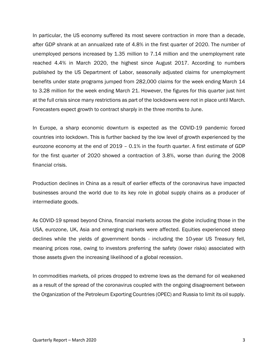In particular, the US economy suffered its most severe contraction in more than a decade, after GDP shrank at an annualized rate of 4.8% in the first quarter of 2020. The number of unemployed persons increased by 1.35 million to 7.14 million and the unemployment rate reached 4.4% in March 2020, the highest since August 2017. According to numbers published by the US Department of Labor, seasonally adjusted claims for unemployment benefits under state programs jumped from 282,000 claims for the week ending March 14 to 3.28 million for the week ending March 21. However, the figures for this quarter just hint at the full crisis since many restrictions as part of the lockdowns were not in place until March. Forecasters expect growth to contract sharply in the three months to June.

In Europe, a sharp economic downturn is expected as the COVID-19 pandemic forced countries into lockdown. This is further backed by the low level of growth experienced by the eurozone economy at the end of 2019 – 0.1% in the fourth quarter. A first estimate of GDP for the first quarter of 2020 showed a contraction of 3.8%, worse than during the 2008 financial crisis.

Production declines in China as a result of earlier effects of the coronavirus have impacted businesses around the world due to its key role in global supply chains as a producer of intermediate goods.

As COVID-19 spread beyond China, financial markets across the globe including those in the USA, eurozone, UK, Asia and emerging markets were affected. Equities experienced steep declines while the yields of government bonds - including the 10-year US Treasury fell, meaning prices rose, owing to investors preferring the safety (lower risks) associated with those assets given the increasing likelihood of a global recession.

In commodities markets, oil prices dropped to extreme lows as the demand for oil weakened as a result of the spread of the coronavirus coupled with the ongoing disagreement between the Organization of the Petroleum Exporting Countries (OPEC) and Russia to limit its oil supply.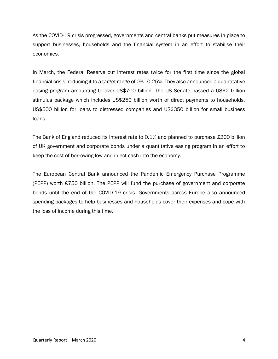As the COVID-19 crisis progressed, governments and central banks put measures in place to support businesses, households and the financial system in an effort to stabilise their economies.

In March, the Federal Reserve cut interest rates twice for the first time since the global financial crisis, reducing it to a target range of 0% - 0.25%. They also announced a quantitative easing program amounting to over US\$700 billion. The US Senate passed a US\$2 trillion stimulus package which includes US\$250 billion worth of direct payments to households, US\$500 billion for loans to distressed companies and US\$350 billion for small business loans.

The Bank of England reduced its interest rate to 0.1% and planned to purchase £200 billion of UK government and corporate bonds under a quantitative easing program in an effort to keep the cost of borrowing low and inject cash into the economy.

The European Central Bank announced the Pandemic Emergency Purchase Programme (PEPP) worth €750 billion. The PEPP will fund the purchase of government and corporate bonds until the end of the COVID-19 crisis. Governments across Europe also announced spending packages to help businesses and households cover their expenses and cope with the loss of income during this time.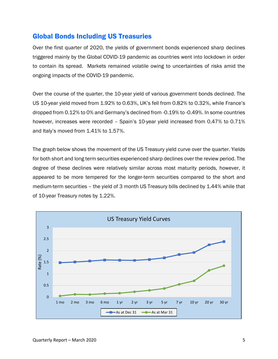#### Global Bonds Including US Treasuries

Over the first quarter of 2020, the yields of government bonds experienced sharp declines triggered mainly by the Global COVID-19 pandemic as countries went into lockdown in order to contain its spread. Markets remained volatile owing to uncertainties of risks amid the ongoing impacts of the COVID-19 pandemic.

Over the course of the quarter, the 10-year yield of various government bonds declined. The US 10-year yield moved from 1.92% to 0.63%, UK's fell from 0.82% to 0.32%, while France's dropped from 0.12% to 0% and Germany's declined from -0.19% to -0.49%. In some countries however, increases were recorded – Spain's 10-year yield increased from 0.47% to 0.71% and Italy's moved from 1.41% to 1.57%.

The graph below shows the movement of the US Treasury yield curve over the quarter. Yields for both short and long term securities experienced sharp declines over the review period. The degree of these declines were relatively similar across most maturity periods, however, it appeared to be more tempered for the longer-term securities compared to the short and medium-term securities – the yield of 3 month US Treasury bills declined by 1.44% while that of 10-year Treasury notes by 1.22%.

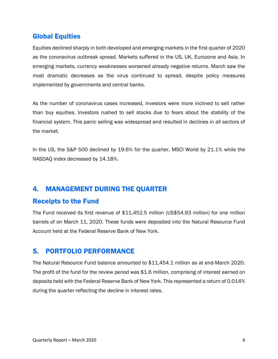### Global Equities

Equities declined sharply in both developed and emerging markets in the first quarter of 2020 as the coronavirus outbreak spread. Markets suffered in the US, UK, Eurozone and Asia. In emerging markets, currency weaknesses worsened already negative returns. March saw the most dramatic decreases as the virus continued to spread, despite policy measures implemented by governments and central banks.

As the number of coronavirus cases increased, investors were more inclined to sell rather than buy equities. Investors rushed to sell stocks due to fears about the stability of the financial system. This panic selling was widespread and resulted in declines in all sectors of the market.

In the US, the S&P 500 declined by 19.6% for the quarter, MSCI World by 21.1% while the NASDAQ index decreased by 14.18%.

# 4. MANAGEMENT DURING THE QUARTER

#### Receipts to the Fund

The Fund received its first revenue of \$11,452.5 million (US\$54.93 million) for one million barrels of on March 11, 2020. These funds were deposited into the Natural Resource Fund Account held at the Federal Reserve Bank of New York.

#### 5. PORTFOLIO PERFORMANCE

The Natural Resource Fund balance amounted to \$11,454.1 million as at end-March 2020. The profit of the fund for the review period was \$1.6 million, comprising of interest earned on deposits held with the Federal Reserve Bank of New York. This represented a return of 0.014% during the quarter reflecting the decline in interest rates.